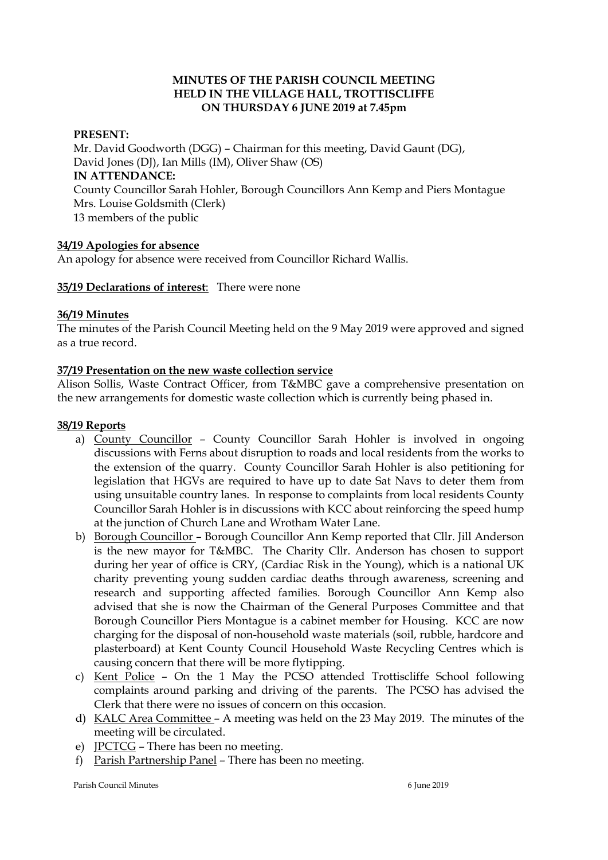### **MINUTES OF THE PARISH COUNCIL MEETING HELD IN THE VILLAGE HALL, TROTTISCLIFFE ON THURSDAY 6 JUNE 2019 at 7.45pm**

### **PRESENT:**

Mr. David Goodworth (DGG) – Chairman for this meeting, David Gaunt (DG), David Jones (DJ), Ian Mills (IM), Oliver Shaw (OS) **IN ATTENDANCE:**  County Councillor Sarah Hohler, Borough Councillors Ann Kemp and Piers Montague Mrs. Louise Goldsmith (Clerk) 13 members of the public

### **34/19 Apologies for absence**

An apology for absence were received from Councillor Richard Wallis.

### **35/19 Declarations of interest**: There were none

#### **36/19 Minutes**

The minutes of the Parish Council Meeting held on the 9 May 2019 were approved and signed as a true record.

#### **37/19 Presentation on the new waste collection service**

Alison Sollis, Waste Contract Officer, from T&MBC gave a comprehensive presentation on the new arrangements for domestic waste collection which is currently being phased in.

#### **38/19 Reports**

- a) County Councillor County Councillor Sarah Hohler is involved in ongoing discussions with Ferns about disruption to roads and local residents from the works to the extension of the quarry. County Councillor Sarah Hohler is also petitioning for legislation that HGVs are required to have up to date Sat Navs to deter them from using unsuitable country lanes. In response to complaints from local residents County Councillor Sarah Hohler is in discussions with KCC about reinforcing the speed hump at the junction of Church Lane and Wrotham Water Lane.
- b) Borough Councillor Borough Councillor Ann Kemp reported that Cllr. Jill Anderson is the new mayor for T&MBC. The Charity Cllr. Anderson has chosen to support during her year of office is CRY, (Cardiac Risk in the Young), which is a national UK charity preventing young sudden cardiac deaths through awareness, screening and research and supporting affected families. Borough Councillor Ann Kemp also advised that she is now the Chairman of the General Purposes Committee and that Borough Councillor Piers Montague is a cabinet member for Housing. KCC are now charging for the disposal of non-household waste materials (soil, rubble, hardcore and plasterboard) at Kent County Council Household Waste Recycling Centres which is causing concern that there will be more flytipping.
- c) Kent Police On the 1 May the PCSO attended Trottiscliffe School following complaints around parking and driving of the parents. The PCSO has advised the Clerk that there were no issues of concern on this occasion.
- d) KALC Area Committee A meeting was held on the 23 May 2019. The minutes of the meeting will be circulated.
- e) JPCTCG There has been no meeting.
- f) Parish Partnership Panel There has been no meeting.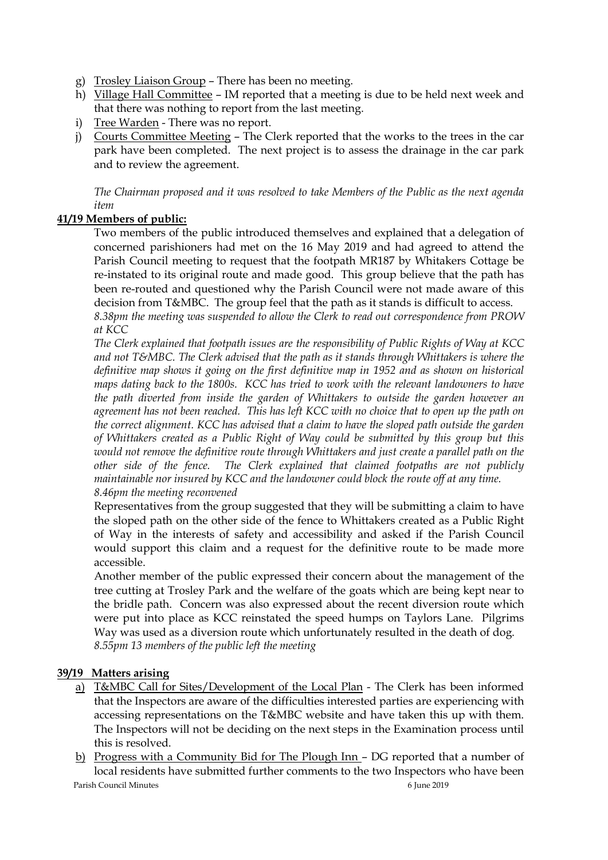- g) Trosley Liaison Group There has been no meeting.
- h) Village Hall Committee IM reported that a meeting is due to be held next week and that there was nothing to report from the last meeting.
- i) Tree Warden There was no report.
- j) Courts Committee Meeting The Clerk reported that the works to the trees in the car park have been completed. The next project is to assess the drainage in the car park and to review the agreement.

*The Chairman proposed and it was resolved to take Members of the Public as the next agenda item*

# **41/19 Members of public:**

Two members of the public introduced themselves and explained that a delegation of concerned parishioners had met on the 16 May 2019 and had agreed to attend the Parish Council meeting to request that the footpath MR187 by Whitakers Cottage be re-instated to its original route and made good. This group believe that the path has been re-routed and questioned why the Parish Council were not made aware of this decision from T&MBC. The group feel that the path as it stands is difficult to access. *8.38pm the meeting was suspended to allow the Clerk to read out correspondence from PROW at KCC*

*The Clerk explained that footpath issues are the responsibility of Public Rights of Way at KCC and not T&MBC. The Clerk advised that the path as it stands through Whittakers is where the definitive map shows it going on the first definitive map in 1952 and as shown on historical maps dating back to the 1800s. KCC has tried to work with the relevant landowners to have the path diverted from inside the garden of Whittakers to outside the garden however an agreement has not been reached. This has left KCC with no choice that to open up the path on the correct alignment. KCC has advised that a claim to have the sloped path outside the garden of Whittakers created as a Public Right of Way could be submitted by this group but this would not remove the definitive route through Whittakers and just create a parallel path on the other side of the fence. The Clerk explained that claimed footpaths are not publicly maintainable nor insured by KCC and the landowner could block the route off at any time. 8.46pm the meeting reconvened*

Representatives from the group suggested that they will be submitting a claim to have the sloped path on the other side of the fence to Whittakers created as a Public Right of Way in the interests of safety and accessibility and asked if the Parish Council would support this claim and a request for the definitive route to be made more accessible.

Another member of the public expressed their concern about the management of the tree cutting at Trosley Park and the welfare of the goats which are being kept near to the bridle path. Concern was also expressed about the recent diversion route which were put into place as KCC reinstated the speed humps on Taylors Lane. Pilgrims Way was used as a diversion route which unfortunately resulted in the death of dog. *8.55pm 13 members of the public left the meeting*

# **39/19 Matters arising**

- a) T&MBC Call for Sites/Development of the Local Plan The Clerk has been informed that the Inspectors are aware of the difficulties interested parties are experiencing with accessing representations on the T&MBC website and have taken this up with them. The Inspectors will not be deciding on the next steps in the Examination process until this is resolved.
- Parish Council Minutes 6 June 2019 b) Progress with a Community Bid for The Plough Inn – DG reported that a number of local residents have submitted further comments to the two Inspectors who have been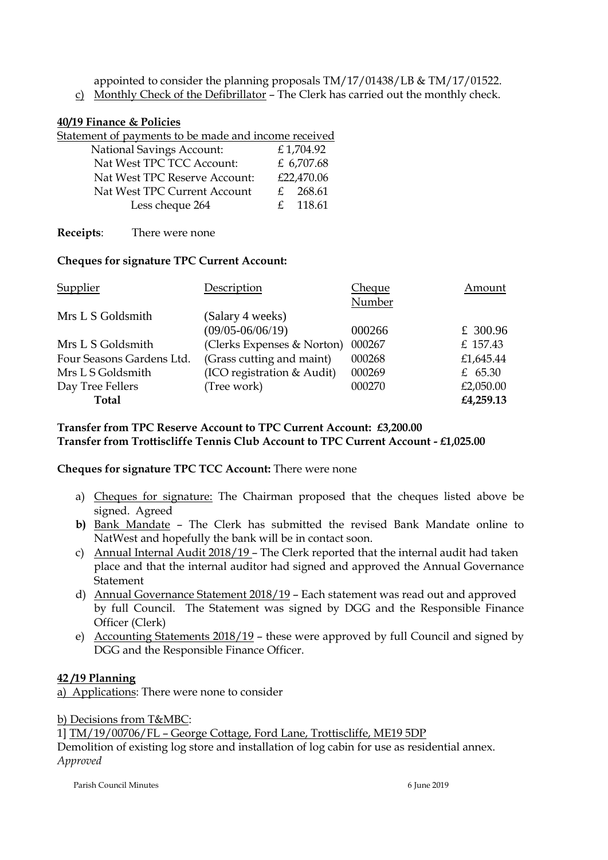appointed to consider the planning proposals TM/17/01438/LB & TM/17/01522.

c) Monthly Check of the Defibrillator – The Clerk has carried out the monthly check.

## **40/19 Finance & Policies**

Statement of payments to be made and income received

| <b>National Savings Account:</b> |              | £1,704.92  |
|----------------------------------|--------------|------------|
| Nat West TPC TCC Account:        |              | £ 6,707.68 |
| Nat West TPC Reserve Account:    |              | £22,470.06 |
| Nat West TPC Current Account     | $\mathbf{f}$ | 268.61     |
| Less cheque 264                  | $\mathbf{f}$ | 118.61     |

**Receipts**: There were none

## **Cheques for signature TPC Current Account:**

| Supplier                  | Description                | <b>Cheque</b> | Amount    |
|---------------------------|----------------------------|---------------|-----------|
|                           |                            | Number        |           |
| Mrs L S Goldsmith         | (Salary 4 weeks)           |               |           |
|                           | $(09/05 - 06/06/19)$       | 000266        | £ 300.96  |
| Mrs L S Goldsmith         | (Clerks Expenses & Norton) | 000267        | £ 157.43  |
| Four Seasons Gardens Ltd. | (Grass cutting and maint)  | 000268        | £1,645.44 |
| Mrs L S Goldsmith         | (ICO registration & Audit) | 000269        | £ $65.30$ |
| Day Tree Fellers          | (Tree work)                | 000270        | £2,050.00 |
| Total                     |                            |               | £4,259.13 |

## **Transfer from TPC Reserve Account to TPC Current Account: £3,200.00 Transfer from Trottiscliffe Tennis Club Account to TPC Current Account - £1,025.00**

### **Cheques for signature TPC TCC Account:** There were none

- a) Cheques for signature: The Chairman proposed that the cheques listed above be signed. Agreed
- **b)** Bank Mandate The Clerk has submitted the revised Bank Mandate online to NatWest and hopefully the bank will be in contact soon.
- c) Annual Internal Audit 2018/19 The Clerk reported that the internal audit had taken place and that the internal auditor had signed and approved the Annual Governance Statement
- d) Annual Governance Statement 2018/19 Each statement was read out and approved by full Council. The Statement was signed by DGG and the Responsible Finance Officer (Clerk)
- e) Accounting Statements 2018/19 these were approved by full Council and signed by DGG and the Responsible Finance Officer.

# **42 /19 Planning**

a) Applications: There were none to consider

b) Decisions from T&MBC:

1] TM/19/00706/FL – George Cottage, Ford Lane, Trottiscliffe, ME19 5DP

Demolition of existing log store and installation of log cabin for use as residential annex. *Approved*

Parish Council Minutes 6 June 2019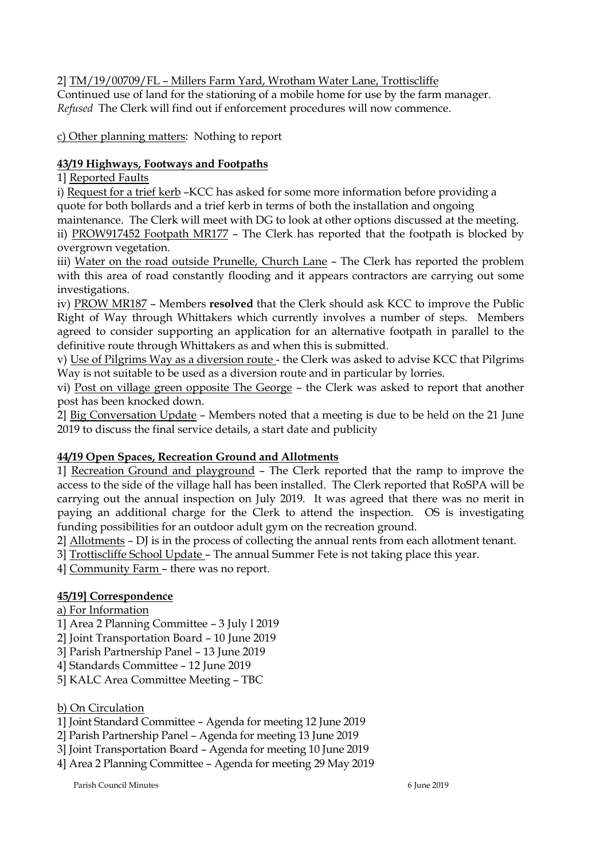2] TM/19/00709/FL – Millers Farm Yard, Wrotham Water Lane, Trottiscliffe

Continued use of land for the stationing of a mobile home for use by the farm manager. *Refused* The Clerk will find out if enforcement procedures will now commence.

c) Other planning matters: Nothing to report

# **43/19 Highways, Footways and Footpaths**

1] Reported Faults

i) Request for a trief kerb –KCC has asked for some more information before providing a quote for both bollards and a trief kerb in terms of both the installation and ongoing maintenance. The Clerk will meet with DG to look at other options discussed at the meeting.

ii) PROW917452 Footpath MR177 – The Clerk has reported that the footpath is blocked by overgrown vegetation.

iii) Water on the road outside Prunelle, Church Lane - The Clerk has reported the problem with this area of road constantly flooding and it appears contractors are carrying out some investigations.

iv) PROW MR187 – Members **resolved** that the Clerk should ask KCC to improve the Public Right of Way through Whittakers which currently involves a number of steps. Members agreed to consider supporting an application for an alternative footpath in parallel to the definitive route through Whittakers as and when this is submitted.

v) Use of Pilgrims Way as a diversion route - the Clerk was asked to advise KCC that Pilgrims Way is not suitable to be used as a diversion route and in particular by lorries.

vi) Post on village green opposite The George – the Clerk was asked to report that another post has been knocked down.

2] Big Conversation Update – Members noted that a meeting is due to be held on the 21 June 2019 to discuss the final service details, a start date and publicity

# **44/19 Open Spaces, Recreation Ground and Allotments**

1] Recreation Ground and playground – The Clerk reported that the ramp to improve the access to the side of the village hall has been installed. The Clerk reported that RoSPA will be carrying out the annual inspection on July 2019. It was agreed that there was no merit in paying an additional charge for the Clerk to attend the inspection. OS is investigating funding possibilities for an outdoor adult gym on the recreation ground.

2] Allotments – DJ is in the process of collecting the annual rents from each allotment tenant.

3] Trottiscliffe School Update – The annual Summer Fete is not taking place this year.

4] Community Farm – there was no report.

# **45/19] Correspondence**

a) For Information

- 1] Area 2 Planning Committee 3 July l 2019
- 2] Joint Transportation Board 10 June 2019
- 3] Parish Partnership Panel 13 June 2019
- 4] Standards Committee 12 June 2019
- 5] KALC Area Committee Meeting TBC
- b) On Circulation
- 1] Joint Standard Committee Agenda for meeting 12 June 2019
- 2] Parish Partnership Panel Agenda for meeting 13 June 2019

3] Joint Transportation Board – Agenda for meeting 10 June 2019

4] Area 2 Planning Committee – Agenda for meeting 29 May 2019

Parish Council Minutes 6 June 2019